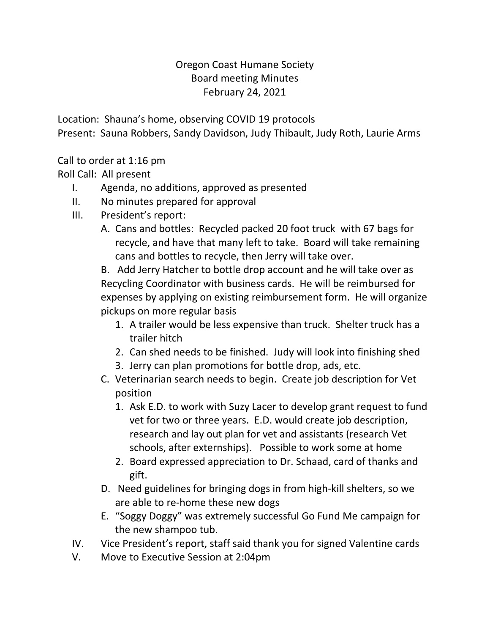## Oregon Coast Humane Society Board meeting Minutes February 24, 2021

Location: Shauna's home, observing COVID 19 protocols Present: Sauna Robbers, Sandy Davidson, Judy Thibault, Judy Roth, Laurie Arms

Call to order at 1:16 pm

Roll Call: All present

- I. Agenda, no additions, approved as presented
- II. No minutes prepared for approval
- III. President's report:
	- A. Cans and bottles: Recycled packed 20 foot truck with 67 bags for recycle, and have that many left to take. Board will take remaining cans and bottles to recycle, then Jerry will take over.

B. Add Jerry Hatcher to bottle drop account and he will take over as Recycling Coordinator with business cards. He will be reimbursed for expenses by applying on existing reimbursement form. He will organize pickups on more regular basis

- 1. A trailer would be less expensive than truck. Shelter truck has a trailer hitch
- 2. Can shed needs to be finished. Judy will look into finishing shed
- 3. Jerry can plan promotions for bottle drop, ads, etc.
- C. Veterinarian search needs to begin. Create job description for Vet position
	- 1. Ask E.D. to work with Suzy Lacer to develop grant request to fund vet for two or three years. E.D. would create job description, research and lay out plan for vet and assistants (research Vet schools, after externships). Possible to work some at home
	- 2. Board expressed appreciation to Dr. Schaad, card of thanks and gift.
- D. Need guidelines for bringing dogs in from high-kill shelters, so we are able to re-home these new dogs
- E. "Soggy Doggy" was extremely successful Go Fund Me campaign for the new shampoo tub.
- IV. Vice President's report, staff said thank you for signed Valentine cards
- V. Move to Executive Session at 2:04pm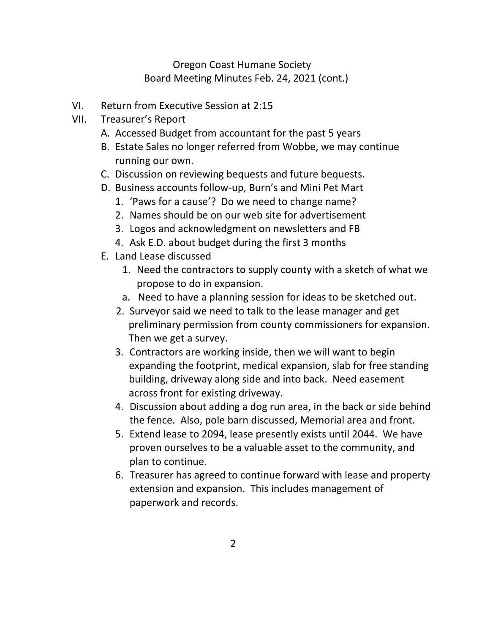## Oregon Coast Humane Society Board Meeting Minutes Feb. 24, 2021 (cont.)

- VI. Return from Executive Session at 2:15
- VII. Treasurer's Report
	- A. Accessed Budget from accountant for the past 5 years
	- B. Estate Sales no longer referred from Wobbe, we may continue running our own.
	- C. Discussion on reviewing bequests and future bequests.
	- D. Business accounts follow-up, Burn's and Mini Pet Mart
		- 1. 'Paws for a cause'? Do we need to change name?
		- 2. Names should be on our web site for advertisement
		- 3. Logos and acknowledgment on newsletters and FB
		- 4. Ask E.D. about budget during the first 3 months
	- E. Land Lease discussed
		- 1. Need the contractors to supply county with a sketch of what we propose to do in expansion.
		- a. Need to have a planning session for ideas to be sketched out.
		- 2. Surveyor said we need to talk to the lease manager and get preliminary permission from county commissioners for expansion. Then we get a survey.
		- 3. Contractors are working inside, then we will want to begin expanding the footprint, medical expansion, slab for free standing building, driveway along side and into back. Need easement across front for existing driveway.
		- 4. Discussion about adding a dog run area, in the back or side behind the fence. Also, pole barn discussed, Memorial area and front.
		- 5. Extend lease to 2094, lease presently exists until 2044. We have proven ourselves to be a valuable asset to the community, and plan to continue.
		- 6. Treasurer has agreed to continue forward with lease and property extension and expansion. This includes management of paperwork and records.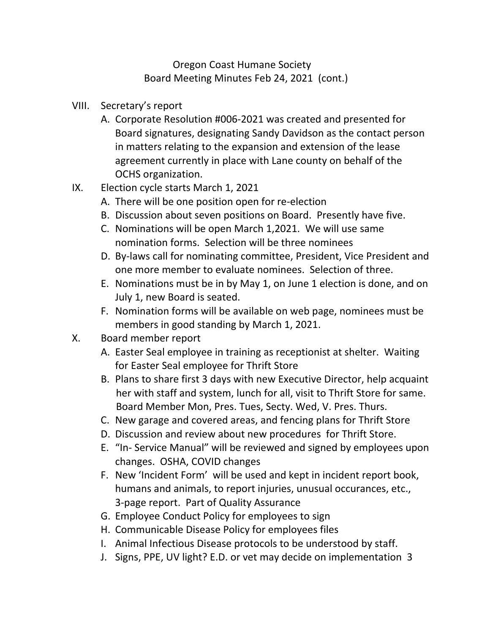## Oregon Coast Humane Society Board Meeting Minutes Feb 24, 2021 (cont.)

- VIII. Secretary's report
	- A. Corporate Resolution #006-2021 was created and presented for Board signatures, designating Sandy Davidson as the contact person in matters relating to the expansion and extension of the lease agreement currently in place with Lane county on behalf of the OCHS organization.
- IX. Election cycle starts March 1, 2021
	- A. There will be one position open for re-election
	- B. Discussion about seven positions on Board. Presently have five.
	- C. Nominations will be open March 1,2021. We will use same nomination forms. Selection will be three nominees
	- D. By-laws call for nominating committee, President, Vice President and one more member to evaluate nominees. Selection of three.
	- E. Nominations must be in by May 1, on June 1 election is done, and on July 1, new Board is seated.
	- F. Nomination forms will be available on web page, nominees must be members in good standing by March 1, 2021.
- X. Board member report
	- A. Easter Seal employee in training as receptionist at shelter. Waiting for Easter Seal employee for Thrift Store
	- B. Plans to share first 3 days with new Executive Director, help acquaint her with staff and system, lunch for all, visit to Thrift Store for same. Board Member Mon, Pres. Tues, Secty. Wed, V. Pres. Thurs.
	- C. New garage and covered areas, and fencing plans for Thrift Store
	- D. Discussion and review about new procedures for Thrift Store.
	- E. "In- Service Manual" will be reviewed and signed by employees upon changes. OSHA, COVID changes
	- F. New 'Incident Form' will be used and kept in incident report book, humans and animals, to report injuries, unusual occurances, etc., 3-page report. Part of Quality Assurance
	- G. Employee Conduct Policy for employees to sign
	- H. Communicable Disease Policy for employees files
	- I. Animal Infectious Disease protocols to be understood by staff.
	- J. Signs, PPE, UV light? E.D. or vet may decide on implementation 3